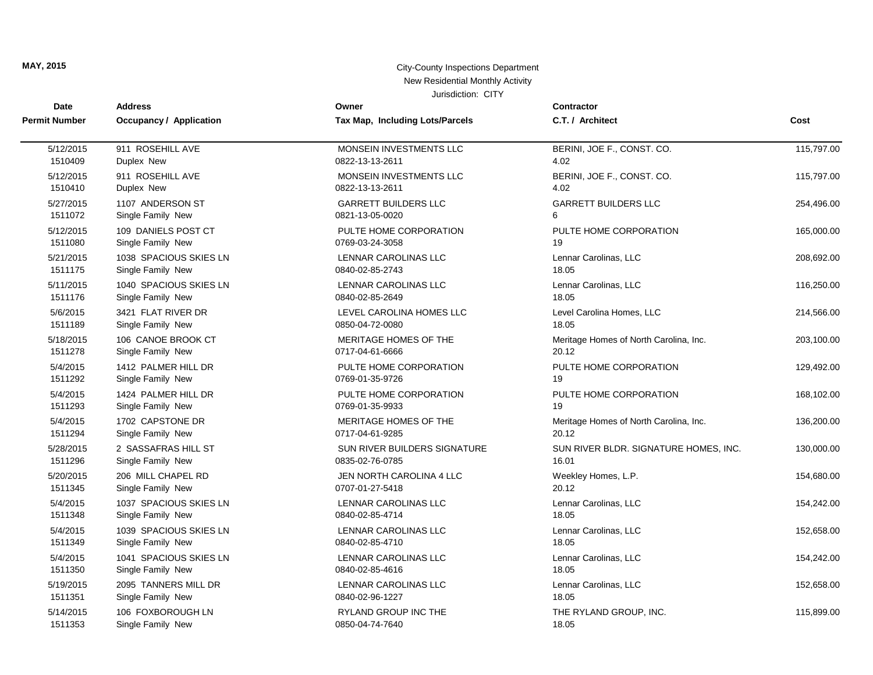| Date                 | <b>Address</b>                 | Owner                           | <b>Contractor</b>                      |            |
|----------------------|--------------------------------|---------------------------------|----------------------------------------|------------|
| <b>Permit Number</b> | <b>Occupancy / Application</b> | Tax Map, Including Lots/Parcels | C.T. / Architect                       | Cost       |
| 5/12/2015            | 911 ROSEHILL AVE               | MONSEIN INVESTMENTS LLC         | BERINI, JOE F., CONST. CO.             | 115,797.00 |
| 1510409              | Duplex New                     | 0822-13-13-2611                 | 4.02                                   |            |
| 5/12/2015            | 911 ROSEHILL AVE               | MONSEIN INVESTMENTS LLC         | BERINI, JOE F., CONST. CO.             | 115,797.00 |
| 1510410              | Duplex New                     | 0822-13-13-2611                 | 4.02                                   |            |
| 5/27/2015            | 1107 ANDERSON ST               | <b>GARRETT BUILDERS LLC</b>     | <b>GARRETT BUILDERS LLC</b>            | 254,496.00 |
| 1511072              | Single Family New              | 0821-13-05-0020                 | 6                                      |            |
| 5/12/2015            | 109 DANIELS POST CT            | PULTE HOME CORPORATION          | PULTE HOME CORPORATION                 | 165,000.00 |
| 1511080              | Single Family New              | 0769-03-24-3058                 | 19                                     |            |
| 5/21/2015            | 1038 SPACIOUS SKIES LN         | <b>LENNAR CAROLINAS LLC</b>     | Lennar Carolinas, LLC                  | 208,692.00 |
| 1511175              | Single Family New              | 0840-02-85-2743                 | 18.05                                  |            |
| 5/11/2015            | 1040 SPACIOUS SKIES LN         | LENNAR CAROLINAS LLC            | Lennar Carolinas, LLC                  | 116,250.00 |
| 1511176              | Single Family New              | 0840-02-85-2649                 | 18.05                                  |            |
| 5/6/2015             | 3421 FLAT RIVER DR             | LEVEL CAROLINA HOMES LLC        | Level Carolina Homes, LLC              | 214,566.00 |
| 1511189              | Single Family New              | 0850-04-72-0080                 | 18.05                                  |            |
| 5/18/2015            | 106 CANOE BROOK CT             | MERITAGE HOMES OF THE           | Meritage Homes of North Carolina, Inc. | 203,100.00 |
| 1511278              | Single Family New              | 0717-04-61-6666                 | 20.12                                  |            |
| 5/4/2015             | 1412 PALMER HILL DR            | PULTE HOME CORPORATION          | PULTE HOME CORPORATION                 | 129,492.00 |
| 1511292              | Single Family New              | 0769-01-35-9726                 | 19                                     |            |
| 5/4/2015             | 1424 PALMER HILL DR            | PULTE HOME CORPORATION          | PULTE HOME CORPORATION                 | 168,102.00 |
| 1511293              | Single Family New              | 0769-01-35-9933                 | 19                                     |            |
| 5/4/2015             | 1702 CAPSTONE DR               | MERITAGE HOMES OF THE           | Meritage Homes of North Carolina, Inc. | 136,200.00 |
| 1511294              | Single Family New              | 0717-04-61-9285                 | 20.12                                  |            |
| 5/28/2015            | 2 SASSAFRAS HILL ST            | SUN RIVER BUILDERS SIGNATURE    | SUN RIVER BLDR. SIGNATURE HOMES, INC.  | 130,000.00 |
| 1511296              | Single Family New              | 0835-02-76-0785                 | 16.01                                  |            |
| 5/20/2015            | 206 MILL CHAPEL RD             | JEN NORTH CAROLINA 4 LLC        | Weekley Homes, L.P.                    | 154,680.00 |
| 1511345              | Single Family New              | 0707-01-27-5418                 | 20.12                                  |            |
| 5/4/2015             | 1037 SPACIOUS SKIES LN         | LENNAR CAROLINAS LLC            | Lennar Carolinas, LLC                  | 154,242.00 |
| 1511348              | Single Family New              | 0840-02-85-4714                 | 18.05                                  |            |
| 5/4/2015             | 1039 SPACIOUS SKIES LN         | <b>LENNAR CAROLINAS LLC</b>     | Lennar Carolinas, LLC                  | 152,658.00 |
| 1511349              | Single Family New              | 0840-02-85-4710                 | 18.05                                  |            |
| 5/4/2015             | 1041 SPACIOUS SKIES LN         | LENNAR CAROLINAS LLC            | Lennar Carolinas, LLC                  | 154,242.00 |
| 1511350              | Single Family New              | 0840-02-85-4616                 | 18.05                                  |            |
| 5/19/2015            | 2095 TANNERS MILL DR           | LENNAR CAROLINAS LLC            | Lennar Carolinas, LLC                  | 152,658.00 |
| 1511351              | Single Family New              | 0840-02-96-1227                 | 18.05                                  |            |
| 5/14/2015            | 106 FOXBOROUGH LN              | <b>RYLAND GROUP INC THE</b>     | THE RYLAND GROUP, INC.                 | 115,899.00 |
| 1511353              | Single Family New              | 0850-04-74-7640                 | 18.05                                  |            |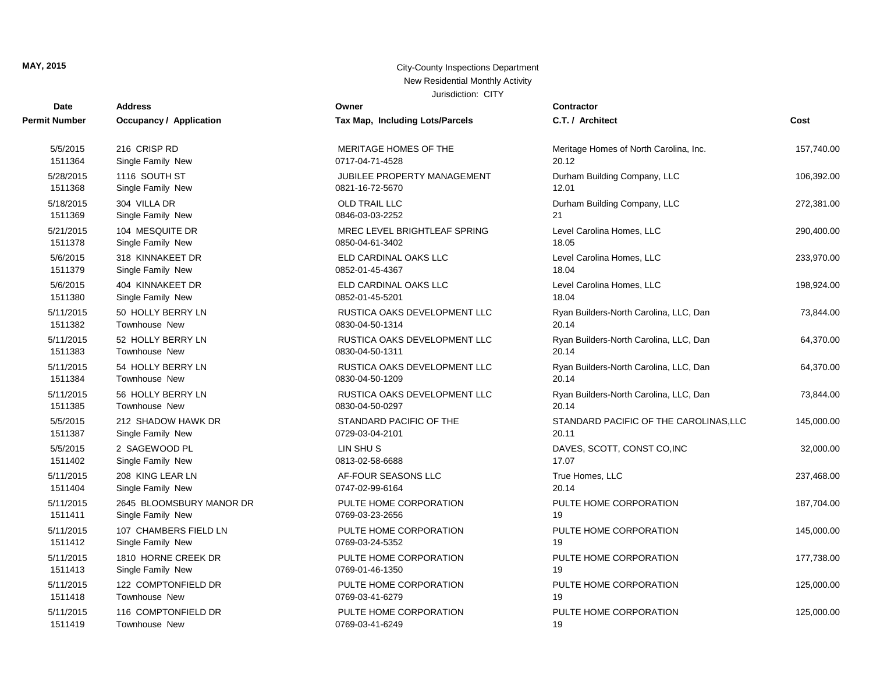#### **MAY, 2015** City-County Inspections Department New Residential Monthly Activity Jurisdiction: CITY

| Date          | <b>Address</b>                 | Owner                           | Contractor                             |            |
|---------------|--------------------------------|---------------------------------|----------------------------------------|------------|
| Permit Number | <b>Occupancy / Application</b> | Tax Map, Including Lots/Parcels | C.T. / Architect                       | Cost       |
| 5/5/2015      | 216 CRISP RD                   | MERITAGE HOMES OF THE           | Meritage Homes of North Carolina, Inc. | 157,740.00 |
| 1511364       | Single Family New              | 0717-04-71-4528                 | 20.12                                  |            |
| 5/28/2015     | 1116 SOUTH ST                  | JUBILEE PROPERTY MANAGEMENT     | Durham Building Company, LLC           | 106,392.00 |
| 1511368       | Single Family New              | 0821-16-72-5670                 | 12.01                                  |            |
| 5/18/2015     | 304 VILLA DR                   | <b>OLD TRAIL LLC</b>            | Durham Building Company, LLC           | 272,381.00 |
| 1511369       | Single Family New              | 0846-03-03-2252                 | 21                                     |            |
| 5/21/2015     | 104 MESQUITE DR                | MREC LEVEL BRIGHTLEAF SPRING    | Level Carolina Homes, LLC              | 290,400.00 |
| 1511378       | Single Family New              | 0850-04-61-3402                 | 18.05                                  |            |
| 5/6/2015      | 318 KINNAKEET DR               | ELD CARDINAL OAKS LLC           | Level Carolina Homes, LLC              | 233,970.00 |
| 1511379       | Single Family New              | 0852-01-45-4367                 | 18.04                                  |            |
| 5/6/2015      | 404 KINNAKEET DR               | ELD CARDINAL OAKS LLC           | Level Carolina Homes, LLC              | 198,924.00 |
| 1511380       | Single Family New              | 0852-01-45-5201                 | 18.04                                  |            |
| 5/11/2015     | 50 HOLLY BERRY LN              | RUSTICA OAKS DEVELOPMENT LLC    | Ryan Builders-North Carolina, LLC, Dan | 73,844.00  |
| 1511382       | <b>Townhouse New</b>           | 0830-04-50-1314                 | 20.14                                  |            |
| 5/11/2015     | 52 HOLLY BERRY LN              | RUSTICA OAKS DEVELOPMENT LLC    | Ryan Builders-North Carolina, LLC, Dan | 64,370.00  |
| 1511383       | Townhouse New                  | 0830-04-50-1311                 | 20.14                                  |            |
| 5/11/2015     | 54 HOLLY BERRY LN              | RUSTICA OAKS DEVELOPMENT LLC    | Ryan Builders-North Carolina, LLC, Dan | 64,370.00  |
| 1511384       | <b>Townhouse New</b>           | 0830-04-50-1209                 | 20.14                                  |            |
| 5/11/2015     | 56 HOLLY BERRY LN              | RUSTICA OAKS DEVELOPMENT LLC    | Ryan Builders-North Carolina, LLC, Dan | 73,844.00  |
| 1511385       | Townhouse New                  | 0830-04-50-0297                 | 20.14                                  |            |
| 5/5/2015      | 212 SHADOW HAWK DR             | STANDARD PACIFIC OF THE         | STANDARD PACIFIC OF THE CAROLINAS, LLC | 145,000.00 |
| 1511387       | Single Family New              | 0729-03-04-2101                 | 20.11                                  |            |
| 5/5/2015      | 2 SAGEWOOD PL                  | LIN SHU S                       | DAVES, SCOTT, CONST CO, INC            | 32,000.00  |
| 1511402       | Single Family New              | 0813-02-58-6688                 | 17.07                                  |            |
| 5/11/2015     | 208 KING LEAR LN               | AF-FOUR SEASONS LLC             | True Homes, LLC                        | 237,468.00 |
| 1511404       | Single Family New              | 0747-02-99-6164                 | 20.14                                  |            |
| 5/11/2015     | 2645 BLOOMSBURY MANOR DR       | PULTE HOME CORPORATION          | PULTE HOME CORPORATION                 | 187,704.00 |
| 1511411       | Single Family New              | 0769-03-23-2656                 | 19                                     |            |
| 5/11/2015     | 107 CHAMBERS FIELD LN          | PULTE HOME CORPORATION          | PULTE HOME CORPORATION                 | 145,000.00 |
| 1511412       | Single Family New              | 0769-03-24-5352                 | 19                                     |            |
| 5/11/2015     | 1810 HORNE CREEK DR            | PULTE HOME CORPORATION          | PULTE HOME CORPORATION                 | 177,738.00 |
| 1511413       | Single Family New              | 0769-01-46-1350                 | 19                                     |            |
| 5/11/2015     | 122 COMPTONFIELD DR            | PULTE HOME CORPORATION          | PULTE HOME CORPORATION                 | 125,000.00 |
| 1511418       | <b>Townhouse New</b>           | 0769-03-41-6279                 | 19                                     |            |
| 5/11/2015     | 116 COMPTONFIELD DR            | PULTE HOME CORPORATION          | PULTE HOME CORPORATION                 | 125,000.00 |
| 1511419       | Townhouse New                  | 0769-03-41-6249                 | 19                                     |            |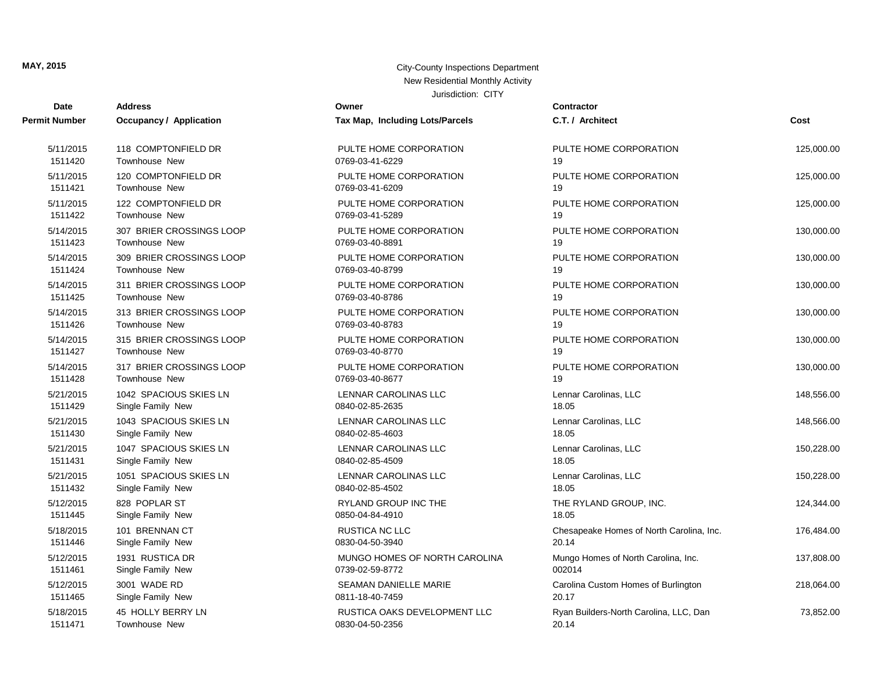| <b>Date</b>   | <b>Address</b>                 | Owner                           | Contractor                               |            |
|---------------|--------------------------------|---------------------------------|------------------------------------------|------------|
| Permit Number | <b>Occupancy / Application</b> | Tax Map, Including Lots/Parcels | C.T. / Architect                         | Cost       |
| 5/11/2015     | 118 COMPTONFIELD DR            | PULTE HOME CORPORATION          | PULTE HOME CORPORATION                   | 125,000.00 |
| 1511420       | Townhouse New                  | 0769-03-41-6229                 | 19                                       |            |
| 5/11/2015     | 120 COMPTONFIELD DR            | PULTE HOME CORPORATION          | PULTE HOME CORPORATION                   | 125,000.00 |
| 1511421       | <b>Townhouse New</b>           | 0769-03-41-6209                 | 19                                       |            |
| 5/11/2015     | 122 COMPTONFIELD DR            | PULTE HOME CORPORATION          | PULTE HOME CORPORATION                   | 125,000.00 |
| 1511422       | <b>Townhouse New</b>           | 0769-03-41-5289                 | 19                                       |            |
| 5/14/2015     | 307 BRIER CROSSINGS LOOP       | PULTE HOME CORPORATION          | PULTE HOME CORPORATION                   | 130,000.00 |
| 1511423       | <b>Townhouse New</b>           | 0769-03-40-8891                 | 19                                       |            |
| 5/14/2015     | 309 BRIER CROSSINGS LOOP       | PULTE HOME CORPORATION          | PULTE HOME CORPORATION                   | 130,000.00 |
| 1511424       | <b>Townhouse New</b>           | 0769-03-40-8799                 | 19                                       |            |
| 5/14/2015     | 311 BRIER CROSSINGS LOOP       | PULTE HOME CORPORATION          | PULTE HOME CORPORATION                   | 130,000.00 |
| 1511425       | <b>Townhouse New</b>           | 0769-03-40-8786                 | 19                                       |            |
| 5/14/2015     | 313 BRIER CROSSINGS LOOP       | PULTE HOME CORPORATION          | PULTE HOME CORPORATION                   | 130,000.00 |
| 1511426       | <b>Townhouse New</b>           | 0769-03-40-8783                 | 19                                       |            |
| 5/14/2015     | 315 BRIER CROSSINGS LOOP       | PULTE HOME CORPORATION          | PULTE HOME CORPORATION                   | 130,000.00 |
| 1511427       | <b>Townhouse New</b>           | 0769-03-40-8770                 | 19                                       |            |
| 5/14/2015     | 317 BRIER CROSSINGS LOOP       | PULTE HOME CORPORATION          | PULTE HOME CORPORATION                   | 130,000.00 |
| 1511428       | <b>Townhouse New</b>           | 0769-03-40-8677                 | 19                                       |            |
| 5/21/2015     | 1042 SPACIOUS SKIES LN         | LENNAR CAROLINAS LLC            | Lennar Carolinas, LLC                    | 148,556.00 |
| 1511429       | Single Family New              | 0840-02-85-2635                 | 18.05                                    |            |
| 5/21/2015     | 1043 SPACIOUS SKIES LN         | LENNAR CAROLINAS LLC            | Lennar Carolinas, LLC                    | 148,566.00 |
| 1511430       | Single Family New              | 0840-02-85-4603                 | 18.05                                    |            |
| 5/21/2015     | 1047 SPACIOUS SKIES LN         | LENNAR CAROLINAS LLC            | Lennar Carolinas, LLC                    | 150,228.00 |
| 1511431       | Single Family New              | 0840-02-85-4509                 | 18.05                                    |            |
| 5/21/2015     | 1051 SPACIOUS SKIES LN         | LENNAR CAROLINAS LLC            | Lennar Carolinas, LLC                    | 150,228.00 |
| 1511432       | Single Family New              | 0840-02-85-4502                 | 18.05                                    |            |
| 5/12/2015     | 828 POPLAR ST                  | <b>RYLAND GROUP INC THE</b>     | THE RYLAND GROUP, INC.                   | 124,344.00 |
| 1511445       | Single Family New              | 0850-04-84-4910                 | 18.05                                    |            |
| 5/18/2015     | 101 BRENNAN CT                 | RUSTICA NC LLC                  | Chesapeake Homes of North Carolina, Inc. | 176,484.00 |
| 1511446       | Single Family New              | 0830-04-50-3940                 | 20.14                                    |            |
| 5/12/2015     | 1931 RUSTICA DR                | MUNGO HOMES OF NORTH CAROLINA   | Mungo Homes of North Carolina, Inc.      | 137,808.00 |
| 1511461       | Single Family New              | 0739-02-59-8772                 | 002014                                   |            |
| 5/12/2015     | 3001 WADE RD                   | <b>SEAMAN DANIELLE MARIE</b>    | Carolina Custom Homes of Burlington      | 218,064.00 |
| 1511465       | Single Family New              | 0811-18-40-7459                 | 20.17                                    |            |
| 5/18/2015     | 45 HOLLY BERRY LN              | RUSTICA OAKS DEVELOPMENT LLC    | Ryan Builders-North Carolina, LLC, Dan   | 73,852.00  |
| 1511471       | <b>Townhouse New</b>           | 0830-04-50-2356                 | 20.14                                    |            |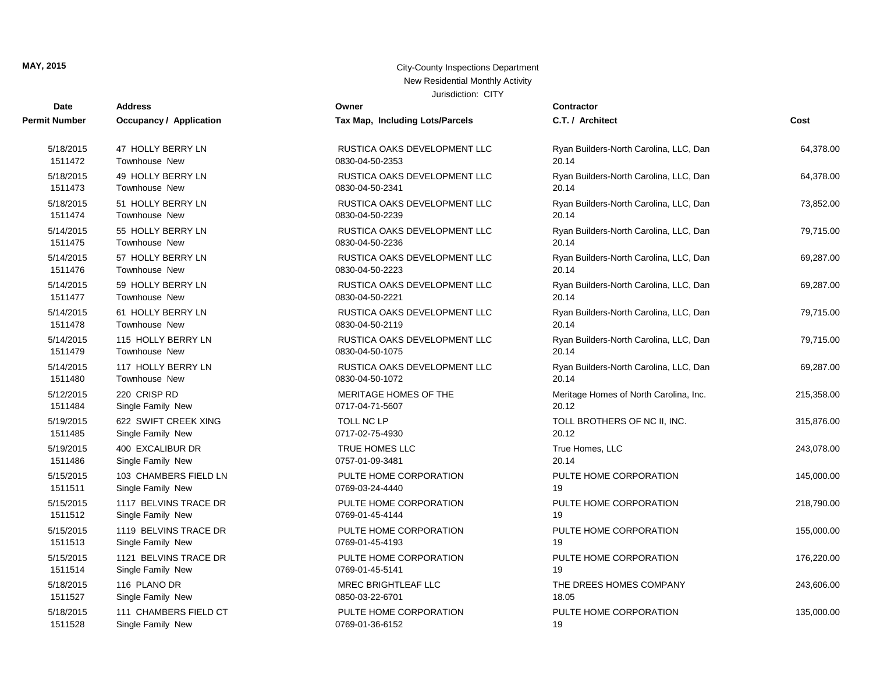| <b>Date</b>          | <b>Address</b>                 | Owner                           | <b>Contractor</b>                      |            |
|----------------------|--------------------------------|---------------------------------|----------------------------------------|------------|
| <b>Permit Number</b> | <b>Occupancy / Application</b> | Tax Map, Including Lots/Parcels | C.T. / Architect                       | Cost       |
| 5/18/2015            | 47 HOLLY BERRY LN              | RUSTICA OAKS DEVELOPMENT LLC    | Ryan Builders-North Carolina, LLC, Dan | 64,378.00  |
| 1511472              | <b>Townhouse New</b>           | 0830-04-50-2353                 | 20.14                                  |            |
| 5/18/2015            | 49 HOLLY BERRY LN              | RUSTICA OAKS DEVELOPMENT LLC    | Ryan Builders-North Carolina, LLC, Dan | 64,378.00  |
| 1511473              | <b>Townhouse New</b>           | 0830-04-50-2341                 | 20.14                                  |            |
| 5/18/2015            | 51 HOLLY BERRY LN              | RUSTICA OAKS DEVELOPMENT LLC    | Ryan Builders-North Carolina, LLC, Dan | 73,852.00  |
| 1511474              | Townhouse New                  | 0830-04-50-2239                 | 20.14                                  |            |
| 5/14/2015            | 55 HOLLY BERRY LN              | RUSTICA OAKS DEVELOPMENT LLC    | Ryan Builders-North Carolina, LLC, Dan | 79,715.00  |
| 1511475              | <b>Townhouse New</b>           | 0830-04-50-2236                 | 20.14                                  |            |
| 5/14/2015            | 57 HOLLY BERRY LN              | RUSTICA OAKS DEVELOPMENT LLC    | Ryan Builders-North Carolina, LLC, Dan | 69,287.00  |
| 1511476              | <b>Townhouse New</b>           | 0830-04-50-2223                 | 20.14                                  |            |
| 5/14/2015            | 59 HOLLY BERRY LN              | RUSTICA OAKS DEVELOPMENT LLC    | Ryan Builders-North Carolina, LLC, Dan | 69,287.00  |
| 1511477              | <b>Townhouse New</b>           | 0830-04-50-2221                 | 20.14                                  |            |
| 5/14/2015            | 61 HOLLY BERRY LN              | RUSTICA OAKS DEVELOPMENT LLC    | Ryan Builders-North Carolina, LLC, Dan | 79,715.00  |
| 1511478              | <b>Townhouse New</b>           | 0830-04-50-2119                 | 20.14                                  |            |
| 5/14/2015            | 115 HOLLY BERRY LN             | RUSTICA OAKS DEVELOPMENT LLC    | Ryan Builders-North Carolina, LLC, Dan | 79,715.00  |
| 1511479              | Townhouse New                  | 0830-04-50-1075                 | 20.14                                  |            |
| 5/14/2015            | 117 HOLLY BERRY LN             | RUSTICA OAKS DEVELOPMENT LLC    | Ryan Builders-North Carolina, LLC, Dan | 69,287.00  |
| 1511480              | Townhouse New                  | 0830-04-50-1072                 | 20.14                                  |            |
| 5/12/2015            | 220 CRISP RD                   | MERITAGE HOMES OF THE           | Meritage Homes of North Carolina, Inc. | 215,358.00 |
| 1511484              | Single Family New              | 0717-04-71-5607                 | 20.12                                  |            |
| 5/19/2015            | 622 SWIFT CREEK XING           | <b>TOLL NC LP</b>               | TOLL BROTHERS OF NC II, INC.           | 315,876.00 |
| 1511485              | Single Family New              | 0717-02-75-4930                 | 20.12                                  |            |
| 5/19/2015            | 400 EXCALIBUR DR               | TRUE HOMES LLC                  | True Homes, LLC                        | 243,078.00 |
| 1511486              | Single Family New              | 0757-01-09-3481                 | 20.14                                  |            |
| 5/15/2015            | 103 CHAMBERS FIELD LN          | PULTE HOME CORPORATION          | PULTE HOME CORPORATION                 | 145,000.00 |
| 1511511              | Single Family New              | 0769-03-24-4440                 | 19                                     |            |
| 5/15/2015            | 1117 BELVINS TRACE DR          | PULTE HOME CORPORATION          | PULTE HOME CORPORATION                 | 218,790.00 |
| 1511512              | Single Family New              | 0769-01-45-4144                 | 19                                     |            |
| 5/15/2015            | 1119 BELVINS TRACE DR          | PULTE HOME CORPORATION          | PULTE HOME CORPORATION                 | 155,000.00 |
| 1511513              | Single Family New              | 0769-01-45-4193                 | 19                                     |            |
| 5/15/2015            | 1121 BELVINS TRACE DR          | PULTE HOME CORPORATION          | PULTE HOME CORPORATION                 | 176,220.00 |
| 1511514              | Single Family New              | 0769-01-45-5141                 | 19                                     |            |
| 5/18/2015            | 116 PLANO DR                   | MREC BRIGHTLEAF LLC             | THE DREES HOMES COMPANY                | 243,606.00 |
| 1511527              | Single Family New              | 0850-03-22-6701                 | 18.05                                  |            |
| 5/18/2015            | 111 CHAMBERS FIELD CT          | PULTE HOME CORPORATION          | PULTE HOME CORPORATION                 | 135,000.00 |
| 1511528              | Single Family New              | 0769-01-36-6152                 | 19                                     |            |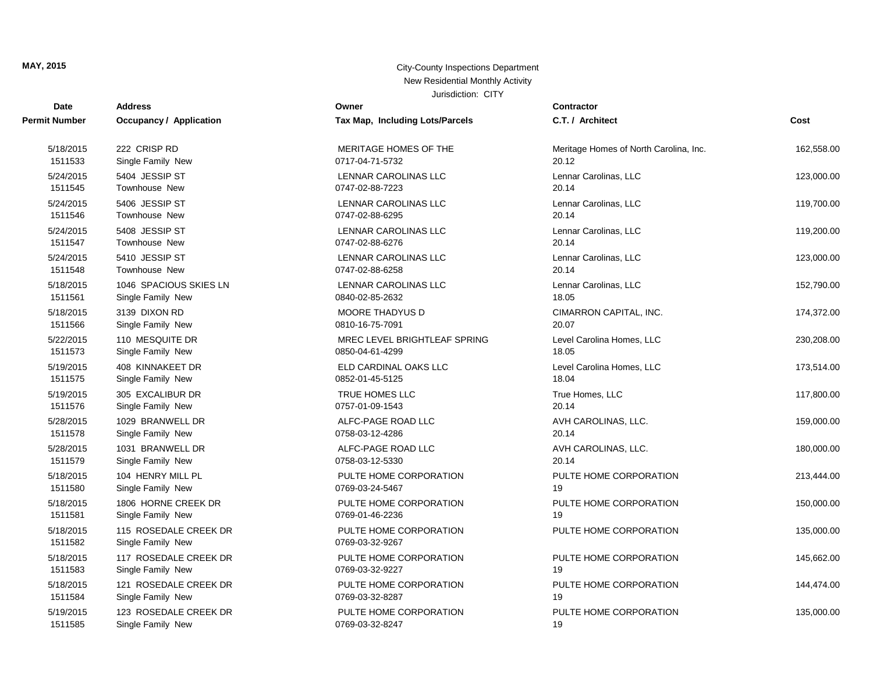| Date                 | <b>Address</b>                             | Owner                                     | Contractor                             |            |
|----------------------|--------------------------------------------|-------------------------------------------|----------------------------------------|------------|
| Permit Number        | <b>Occupancy / Application</b>             | Tax Map, Including Lots/Parcels           | C.T. / Architect                       | Cost       |
| 5/18/2015            | 222 CRISP RD                               | MERITAGE HOMES OF THE                     | Meritage Homes of North Carolina, Inc. | 162,558.00 |
| 1511533              | Single Family New                          | 0717-04-71-5732                           | 20.12                                  |            |
| 5/24/2015            | 5404 JESSIP ST                             | LENNAR CAROLINAS LLC                      | Lennar Carolinas, LLC                  | 123,000.00 |
| 1511545              | Townhouse New                              | 0747-02-88-7223                           | 20.14                                  |            |
| 5/24/2015            | 5406 JESSIP ST                             | LENNAR CAROLINAS LLC                      | Lennar Carolinas, LLC                  | 119,700.00 |
| 1511546              | <b>Townhouse New</b>                       | 0747-02-88-6295                           | 20.14                                  |            |
| 5/24/2015            | 5408 JESSIP ST                             | LENNAR CAROLINAS LLC                      | Lennar Carolinas, LLC                  | 119,200.00 |
| 1511547              | <b>Townhouse New</b>                       | 0747-02-88-6276                           | 20.14                                  |            |
| 5/24/2015            | 5410 JESSIP ST                             | LENNAR CAROLINAS LLC                      | Lennar Carolinas, LLC                  | 123,000.00 |
| 1511548              | <b>Townhouse New</b>                       | 0747-02-88-6258                           | 20.14                                  |            |
| 5/18/2015            | 1046 SPACIOUS SKIES LN                     | LENNAR CAROLINAS LLC                      | Lennar Carolinas, LLC                  | 152,790.00 |
| 1511561              | Single Family New                          | 0840-02-85-2632                           | 18.05                                  |            |
| 5/18/2015            | 3139 DIXON RD                              | <b>MOORE THADYUS D</b>                    | CIMARRON CAPITAL, INC.                 | 174,372.00 |
| 1511566              | Single Family New                          | 0810-16-75-7091                           | 20.07                                  |            |
| 5/22/2015            | 110 MESQUITE DR                            | MREC LEVEL BRIGHTLEAF SPRING              | Level Carolina Homes, LLC              | 230,208.00 |
| 1511573              | Single Family New                          | 0850-04-61-4299                           | 18.05                                  |            |
| 5/19/2015            | 408 KINNAKEET DR                           | ELD CARDINAL OAKS LLC                     | Level Carolina Homes, LLC              | 173,514.00 |
| 1511575              | Single Family New                          | 0852-01-45-5125                           | 18.04                                  |            |
| 5/19/2015            | 305 EXCALIBUR DR                           | TRUE HOMES LLC                            | True Homes, LLC                        | 117,800.00 |
| 1511576              | Single Family New                          | 0757-01-09-1543                           | 20.14                                  |            |
| 5/28/2015            | 1029 BRANWELL DR                           | ALFC-PAGE ROAD LLC                        | AVH CAROLINAS, LLC.                    | 159,000.00 |
| 1511578              | Single Family New                          | 0758-03-12-4286                           | 20.14                                  |            |
| 5/28/2015            | 1031 BRANWELL DR                           | ALFC-PAGE ROAD LLC                        | AVH CAROLINAS, LLC.                    | 180,000.00 |
| 1511579              | Single Family New                          | 0758-03-12-5330                           | 20.14                                  |            |
| 5/18/2015            | 104 HENRY MILL PL                          | PULTE HOME CORPORATION                    | PULTE HOME CORPORATION                 | 213,444.00 |
| 1511580              | Single Family New                          | 0769-03-24-5467                           | 19                                     |            |
| 5/18/2015            | 1806 HORNE CREEK DR                        | PULTE HOME CORPORATION                    | PULTE HOME CORPORATION                 | 150,000.00 |
| 1511581              | Single Family New                          | 0769-01-46-2236                           | 19                                     |            |
| 5/18/2015<br>1511582 | 115 ROSEDALE CREEK DR<br>Single Family New | PULTE HOME CORPORATION<br>0769-03-32-9267 | PULTE HOME CORPORATION                 | 135,000.00 |
| 5/18/2015            | 117 ROSEDALE CREEK DR                      | PULTE HOME CORPORATION                    | PULTE HOME CORPORATION                 | 145,662.00 |
| 1511583              | Single Family New                          | 0769-03-32-9227                           | 19                                     |            |
| 5/18/2015            | 121 ROSEDALE CREEK DR                      | PULTE HOME CORPORATION                    | PULTE HOME CORPORATION                 | 144,474.00 |
| 1511584              | Single Family New                          | 0769-03-32-8287                           | 19                                     |            |
| 5/19/2015            | 123 ROSEDALE CREEK DR                      | PULTE HOME CORPORATION                    | PULTE HOME CORPORATION                 | 135,000.00 |
| 1511585              | Single Family New                          | 0769-03-32-8247                           | 19                                     |            |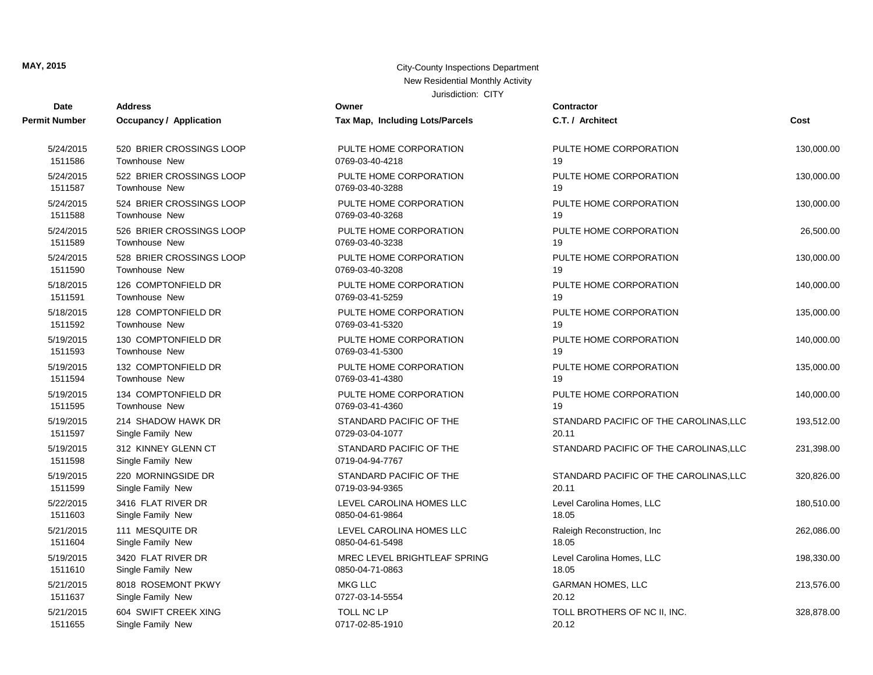| Date                 | <b>Address</b>                           | Owner                                      | <b>Contractor</b>                      |            |
|----------------------|------------------------------------------|--------------------------------------------|----------------------------------------|------------|
| Permit Number        | Occupancy / Application                  | Tax Map, Including Lots/Parcels            | C.T. / Architect                       | Cost       |
| 5/24/2015            | 520 BRIER CROSSINGS LOOP                 | PULTE HOME CORPORATION                     | PULTE HOME CORPORATION                 | 130,000.00 |
| 1511586              | <b>Townhouse New</b>                     | 0769-03-40-4218                            | 19                                     |            |
| 5/24/2015            | 522 BRIER CROSSINGS LOOP                 | PULTE HOME CORPORATION                     | PULTE HOME CORPORATION                 | 130,000.00 |
| 1511587              | <b>Townhouse New</b>                     | 0769-03-40-3288                            | 19                                     |            |
| 5/24/2015            | 524 BRIER CROSSINGS LOOP                 | PULTE HOME CORPORATION                     | PULTE HOME CORPORATION                 | 130,000.00 |
| 1511588              | <b>Townhouse New</b>                     | 0769-03-40-3268                            | 19                                     |            |
| 5/24/2015            | 526 BRIER CROSSINGS LOOP                 | PULTE HOME CORPORATION                     | PULTE HOME CORPORATION                 | 26,500.00  |
| 1511589              | <b>Townhouse New</b>                     | 0769-03-40-3238                            | 19                                     |            |
| 5/24/2015            | 528 BRIER CROSSINGS LOOP                 | PULTE HOME CORPORATION                     | PULTE HOME CORPORATION                 | 130,000.00 |
| 1511590              | Townhouse New                            | 0769-03-40-3208                            | 19                                     |            |
| 5/18/2015            | 126 COMPTONFIELD DR                      | PULTE HOME CORPORATION                     | PULTE HOME CORPORATION                 | 140,000.00 |
| 1511591              | <b>Townhouse New</b>                     | 0769-03-41-5259                            | 19                                     |            |
| 5/18/2015            | 128 COMPTONFIELD DR                      | PULTE HOME CORPORATION                     | PULTE HOME CORPORATION                 | 135,000.00 |
| 1511592              | Townhouse New                            | 0769-03-41-5320                            | 19                                     |            |
| 5/19/2015            | 130 COMPTONFIELD DR                      | PULTE HOME CORPORATION                     | PULTE HOME CORPORATION                 | 140,000.00 |
| 1511593              | <b>Townhouse New</b>                     | 0769-03-41-5300                            | 19                                     |            |
| 5/19/2015            | 132 COMPTONFIELD DR                      | PULTE HOME CORPORATION                     | PULTE HOME CORPORATION                 | 135,000.00 |
| 1511594              | Townhouse New                            | 0769-03-41-4380                            | 19                                     |            |
| 5/19/2015            | 134 COMPTONFIELD DR                      | PULTE HOME CORPORATION                     | PULTE HOME CORPORATION                 | 140,000.00 |
| 1511595              | <b>Townhouse New</b>                     | 0769-03-41-4360                            | 19                                     |            |
| 5/19/2015            | 214 SHADOW HAWK DR                       | STANDARD PACIFIC OF THE                    | STANDARD PACIFIC OF THE CAROLINAS, LLC | 193,512.00 |
| 1511597              | Single Family New                        | 0729-03-04-1077                            | 20.11                                  |            |
| 5/19/2015<br>1511598 | 312 KINNEY GLENN CT<br>Single Family New | STANDARD PACIFIC OF THE<br>0719-04-94-7767 | STANDARD PACIFIC OF THE CAROLINAS, LLC | 231,398.00 |
| 5/19/2015            | 220 MORNINGSIDE DR                       | STANDARD PACIFIC OF THE                    | STANDARD PACIFIC OF THE CAROLINAS, LLC | 320,826.00 |
| 1511599              | Single Family New                        | 0719-03-94-9365                            | 20.11                                  |            |
| 5/22/2015            | 3416 FLAT RIVER DR                       | LEVEL CAROLINA HOMES LLC                   | Level Carolina Homes, LLC              | 180,510.00 |
| 1511603              | Single Family New                        | 0850-04-61-9864                            | 18.05                                  |            |
| 5/21/2015            | 111 MESQUITE DR                          | LEVEL CAROLINA HOMES LLC                   | Raleigh Reconstruction, Inc.           | 262,086.00 |
| 1511604              | Single Family New                        | 0850-04-61-5498                            | 18.05                                  |            |
| 5/19/2015            | 3420 FLAT RIVER DR                       | MREC LEVEL BRIGHTLEAF SPRING               | Level Carolina Homes, LLC              | 198,330.00 |
| 1511610              | Single Family New                        | 0850-04-71-0863                            | 18.05                                  |            |
| 5/21/2015            | 8018 ROSEMONT PKWY                       | <b>MKG LLC</b>                             | <b>GARMAN HOMES, LLC</b>               | 213,576.00 |
| 1511637              | Single Family New                        | 0727-03-14-5554                            | 20.12                                  |            |
| 5/21/2015            | 604 SWIFT CREEK XING                     | TOLL NC LP                                 | TOLL BROTHERS OF NC II, INC.           | 328,878.00 |
| 1511655              | Single Family New                        | 0717-02-85-1910                            | 20.12                                  |            |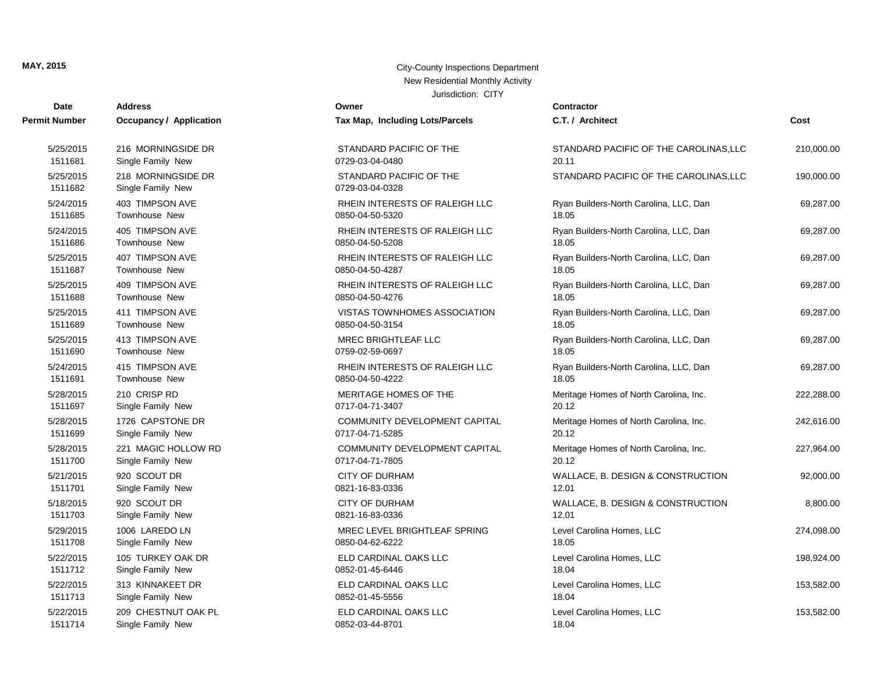| <b>Date</b>          | <b>Address</b>                          | Owner                                      | <b>Contractor</b>                      |            |
|----------------------|-----------------------------------------|--------------------------------------------|----------------------------------------|------------|
| Permit Number        | Occupancy / Application                 | Tax Map, Including Lots/Parcels            | C.T. / Architect                       | Cost       |
| 5/25/2015            | 216 MORNINGSIDE DR                      | STANDARD PACIFIC OF THE                    | STANDARD PACIFIC OF THE CAROLINAS, LLC | 210,000.00 |
| 1511681              | Single Family New                       | 0729-03-04-0480                            | 20.11                                  |            |
| 5/25/2015<br>1511682 | 218 MORNINGSIDE DR<br>Single Family New | STANDARD PACIFIC OF THE<br>0729-03-04-0328 | STANDARD PACIFIC OF THE CAROLINAS, LLC | 190,000.00 |
| 5/24/2015            | 403 TIMPSON AVE                         | RHEIN INTERESTS OF RALEIGH LLC             | Ryan Builders-North Carolina, LLC, Dan | 69,287.00  |
| 1511685              | <b>Townhouse New</b>                    | 0850-04-50-5320                            | 18.05                                  |            |
| 5/24/2015            | 405 TIMPSON AVE                         | RHEIN INTERESTS OF RALEIGH LLC             | Ryan Builders-North Carolina, LLC, Dan | 69,287.00  |
| 1511686              | Townhouse New                           | 0850-04-50-5208                            | 18.05                                  |            |
| 5/25/2015            | 407 TIMPSON AVE                         | RHEIN INTERESTS OF RALEIGH LLC             | Ryan Builders-North Carolina, LLC, Dan | 69,287.00  |
| 1511687              | <b>Townhouse New</b>                    | 0850-04-50-4287                            | 18.05                                  |            |
| 5/25/2015            | 409 TIMPSON AVE                         | RHEIN INTERESTS OF RALEIGH LLC             | Ryan Builders-North Carolina, LLC, Dan | 69,287.00  |
| 1511688              | <b>Townhouse New</b>                    | 0850-04-50-4276                            | 18.05                                  |            |
| 5/25/2015            | 411 TIMPSON AVE                         | VISTAS TOWNHOMES ASSOCIATION               | Ryan Builders-North Carolina, LLC, Dan | 69,287.00  |
| 1511689              | <b>Townhouse New</b>                    | 0850-04-50-3154                            | 18.05                                  |            |
| 5/25/2015            | 413 TIMPSON AVE                         | <b>MREC BRIGHTLEAF LLC</b>                 | Ryan Builders-North Carolina, LLC, Dan | 69,287.00  |
| 1511690              | Townhouse New                           | 0759-02-59-0697                            | 18.05                                  |            |
| 5/24/2015            | 415 TIMPSON AVE                         | RHEIN INTERESTS OF RALEIGH LLC             | Ryan Builders-North Carolina, LLC, Dan | 69,287.00  |
| 1511691              | <b>Townhouse New</b>                    | 0850-04-50-4222                            | 18.05                                  |            |
| 5/28/2015            | 210 CRISP RD                            | MERITAGE HOMES OF THE                      | Meritage Homes of North Carolina, Inc. | 222,288.00 |
| 1511697              | Single Family New                       | 0717-04-71-3407                            | 20.12                                  |            |
| 5/28/2015            | 1726 CAPSTONE DR                        | COMMUNITY DEVELOPMENT CAPITAL              | Meritage Homes of North Carolina, Inc. | 242,616.00 |
| 1511699              | Single Family New                       | 0717-04-71-5285                            | 20.12                                  |            |
| 5/28/2015            | 221 MAGIC HOLLOW RD                     | COMMUNITY DEVELOPMENT CAPITAL              | Meritage Homes of North Carolina, Inc. | 227,964.00 |
| 1511700              | Single Family New                       | 0717-04-71-7805                            | 20.12                                  |            |
| 5/21/2015            | 920 SCOUT DR                            | <b>CITY OF DURHAM</b>                      | WALLACE, B. DESIGN & CONSTRUCTION      | 92,000.00  |
| 1511701              | Single Family New                       | 0821-16-83-0336                            | 12.01                                  |            |
| 5/18/2015            | 920 SCOUT DR                            | <b>CITY OF DURHAM</b>                      | WALLACE, B. DESIGN & CONSTRUCTION      | 8,800.00   |
| 1511703              | Single Family New                       | 0821-16-83-0336                            | 12.01                                  |            |
| 5/29/2015            | 1006 LAREDO LN                          | MREC LEVEL BRIGHTLEAF SPRING               | Level Carolina Homes, LLC              | 274,098.00 |
| 1511708              | Single Family New                       | 0850-04-62-6222                            | 18.05                                  |            |
| 5/22/2015            | 105 TURKEY OAK DR                       | ELD CARDINAL OAKS LLC                      | Level Carolina Homes, LLC              | 198,924.00 |
| 1511712              | Single Family New                       | 0852-01-45-6446                            | 18.04                                  |            |
| 5/22/2015            | 313 KINNAKEET DR                        | ELD CARDINAL OAKS LLC                      | Level Carolina Homes, LLC              | 153,582.00 |
| 1511713              | Single Family New                       | 0852-01-45-5556                            | 18.04                                  |            |
| 5/22/2015            | 209 CHESTNUT OAK PL                     | ELD CARDINAL OAKS LLC                      | Level Carolina Homes, LLC              | 153,582.00 |
| 1511714              | Single Family New                       | 0852-03-44-8701                            | 18.04                                  |            |